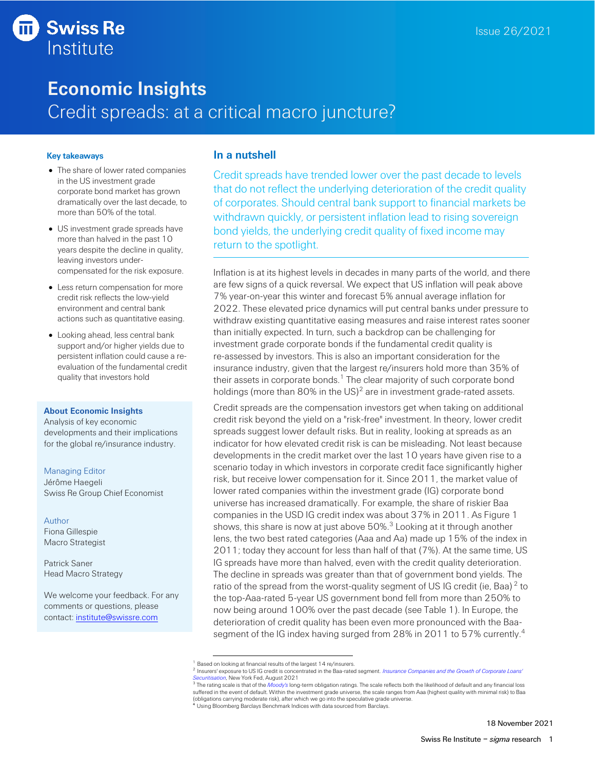# **Swiss Re** Institute

# **Economic Insights** Credit spreads: at a critical macro juncture?

### **Key takeaways**

- The share of lower rated companies in the US investment grade corporate bond market has grown dramatically over the last decade, to more than 50% of the total.
- US investment grade spreads have more than halved in the past 10 years despite the decline in quality, leaving investors undercompensated for the risk exposure.
- Less return compensation for more credit risk reflects the low-yield environment and central bank actions such as quantitative easing.
- Looking ahead, less central bank support and/or higher yields due to persistent inflation could cause a reevaluation of the fundamental credit quality that investors hold

### **About Economic Insights**

Analysis of key economic developments and their implications for the global re/insurance industry.

### Managing Editor

Jérôme Haegeli Swiss Re Group Chief Economist

### Author

Fiona Gillespie Macro Strategist

Patrick Saner Head Macro Strategy

We welcome your feedback. For any comments or questions, please contact: [institute@swissre.com](mailto:institute@swissre.com)

## **In a nutshell**

Credit spreads have trended lower over the past decade to levels that do not reflect the underlying deterioration of the credit quality of corporates. Should central bank support to financial markets be withdrawn quickly, or persistent inflation lead to rising sovereign bond yields, the underlying credit quality of fixed income may return to the spotlight.

Inflation is at its highest levels in decades in many parts of the world, and there are few signs of a quick reversal. We expect that US inflation will peak above 7% year-on-year this winter and forecast 5% annual average inflation for 2022. These elevated price dynamics will put central banks under pressure to withdraw existing quantitative easing measures and raise interest rates sooner than initially expected. In turn, such a backdrop can be challenging for investment grade corporate bonds if the fundamental credit quality is re-assessed by investors. This is also an important consideration for the insurance industry, given that the largest re/insurers hold more than 35% of their assets in corporate bonds.<sup>1</sup> The clear majority of such corporate bond holdings (more than 80% in the US) $^2$  are in investment grade-rated assets.

<span id="page-0-0"></span>Credit spreads are the compensation investors get when taking on additional credit risk beyond the yield on a "risk-free" investment. In theory, lower credit spreads suggest lower default risks. But in reality, looking at spreads as an indicator for how elevated credit risk is can be misleading. Not least because developments in the credit market over the last 10 years have given rise to a scenario today in which investors in corporate credit face significantly higher risk, but receive lower compensation for it. Since 2011, the market value of lower rated companies within the investment grade (IG) corporate bond universe has increased dramatically. For example, the share of riskier Baa companies in the USD IG credit index was about 37% in 2011. As Figure 1 shows, this share is now at just above  $50\%$ . $^3$  Looking at it through another lens, the two best rated categories (Aaa and Aa) made up 15% of the index in 2011; today they account for less than half of that (7%). At the same time, US IG spreads have more than halved, even with the credit quality deterioration. The decline in spreads was greater than that of government bond yields. The ratio of the spread from the worst-quality segment of US IG credit (ie, Baa) $^2$  $^2$  to the top-Aaa-rated 5-year US government bond fell from more than 250% to now being around 100% over the past decade (see Table 1). In Europe, the deterioration of credit quality has been even more pronounced with the Baasegment of the IG index having surged from 28% in 2011 to 57% currently.<sup>4</sup>

Based on looking at financial results of the largest 14 re/insurers.

<sup>2</sup> Insurers' exposure to US IG credit is concentrated in the Baa-rated segment. *[Insurance Companies and the Growth of Corporate Loans'](https://www.newyorkfed.org/medialibrary/media/research/staff_reports/sr975.pdf)  [Securitisation,](https://www.newyorkfed.org/medialibrary/media/research/staff_reports/sr975.pdf)* New York Fed, August 2021

<sup>&</sup>lt;sup>3</sup> The rating scale is that of the *[Moody's](https://www.moodys.com/sites/products/productattachments/ap075378_1_1408_ki.pdf)* long-term obligation ratings. The scale reflects both the likelihood of default and any financial loss suffered in the event of default. Within the investment grade universe, the scale ranges from Aaa (highest quality with minimal risk) to Baa (obligations carrying moderate risk), after which we go into the speculative grade universe. <sup>4</sup> Using Bloomberg Barclays Benchmark Indices with data sourced from Barclays.